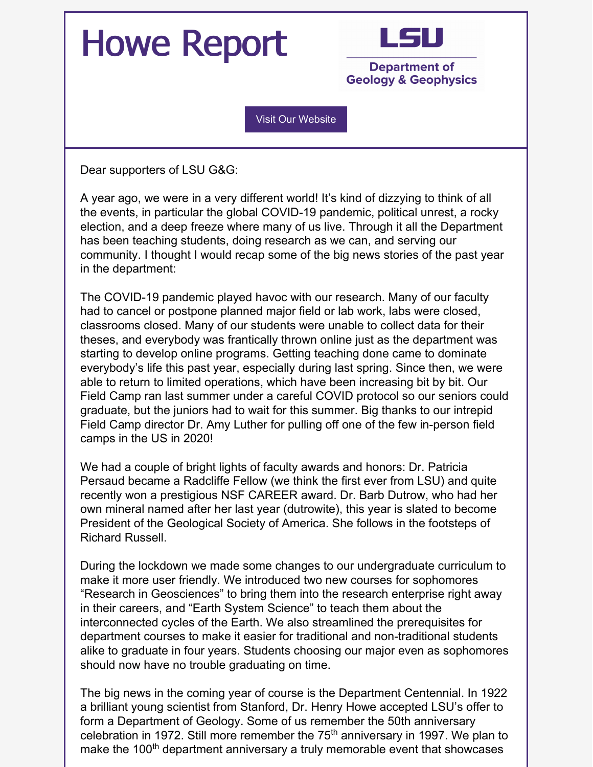## Howe Report



**Department of Geology & Geophysics** 

Visit Our [Website](https://www.lsu.edu/science/geology/)

Dear supporters of LSU G&G:

A year ago, we were in a very different world! It's kind of dizzying to think of all the events, in particular the global COVID-19 pandemic, political unrest, a rocky election, and a deep freeze where many of us live. Through it all the Department has been teaching students, doing research as we can, and serving our community. I thought I would recap some of the big news stories of the past year in the department:

The COVID-19 pandemic played havoc with our research. Many of our faculty had to cancel or postpone planned major field or lab work, labs were closed, classrooms closed. Many of our students were unable to collect data for their theses, and everybody was frantically thrown online just as the department was starting to develop online programs. Getting teaching done came to dominate everybody's life this past year, especially during last spring. Since then, we were able to return to limited operations, which have been increasing bit by bit. Our Field Camp ran last summer under a careful COVID protocol so our seniors could graduate, but the juniors had to wait for this summer. Big thanks to our intrepid Field Camp director Dr. Amy Luther for pulling off one of the few in-person field camps in the US in 2020!

We had a couple of bright lights of faculty awards and honors: Dr. Patricia Persaud became a Radcliffe Fellow (we think the first ever from LSU) and quite recently won a prestigious NSF CAREER award. Dr. Barb Dutrow, who had her own mineral named after her last year (dutrowite), this year is slated to become President of the Geological Society of America. She follows in the footsteps of Richard Russell.

During the lockdown we made some changes to our undergraduate curriculum to make it more user friendly. We introduced two new courses for sophomores "Research in Geosciences" to bring them into the research enterprise right away in their careers, and "Earth System Science" to teach them about the interconnected cycles of the Earth. We also streamlined the prerequisites for department courses to make it easier for traditional and non-traditional students alike to graduate in four years. Students choosing our major even as sophomores should now have no trouble graduating on time.

The big news in the coming year of course is the Department Centennial. In 1922 a brilliant young scientist from Stanford, Dr. Henry Howe accepted LSU's offer to form a Department of Geology. Some of us remember the 50th anniversary celebration in 1972. Still more remember the 75<sup>th</sup> anniversary in 1997. We plan to make the 100<sup>th</sup> department anniversary a truly memorable event that showcases